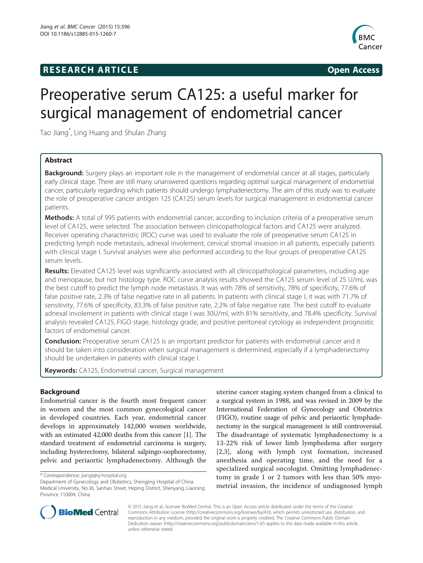# **RESEARCH ARTICLE Example 2014 12:30 The SEAR CHA RTICLE**



# Preoperative serum CA125: a useful marker for surgical management of endometrial cancer

Tao Jiang\* , Ling Huang and Shulan Zhang

# Abstract

**Background:** Surgery plays an important role in the management of endometrial cancer at all stages, particularly early clinical stage. There are still many unanswered questions regarding optimal surgical management of endometrial cancer, particularly regarding which patients should undergo lymphadenectomy. The aim of this study was to evaluate the role of preoperative cancer antigen 125 (CA125) serum levels for surgical management in endometrial cancer patients.

Methods: A total of 995 patients with endometrial cancer, according to inclusion criteria of a preoperative serum level of CA125, were selected. The association between clinicopathological factors and CA125 were analyzed. Receiver operating characteristic (ROC) curve was used to evaluate the role of preoperative serum CA125 in predicting lymph node metastasis, adnexal involement, cervical stromal invasion in all patients, especially patients with clinical stage I. Survival analyses were also performed according to the four groups of preoperative CA125 serum levels.

Results: Elevated CA125 level was significantly associated with all clinicopathological parameters, including age and menopause, but not histology type. ROC curve analysis results showed the CA125 serum level of 25 U/mL was the best cutoff to predict the lymph node metastasis. It was with 78% of sensitivity, 78% of specificity, 77.6% of false positive rate, 2.3% of false negative rate in all patients. In patients with clinical stage I, it was with 71.7% of sensitivity, 77.6% of specificity, 83.3% of false positive rate, 2.2% of false negative rate. The best cutoff to evaluate adnexal involement in patients with clinical stage I was 30U/ml, with 81% sensitivity, and 78.4% specificity. Survival analysis revealed CA125, FIGO stage, histology grade, and positive peritoneal cytology as independent prognostic factors of endometrial cancer.

**Conclusion:** Preoperative serum CA125 is an important predictor for patients with endometrial cancer and it should be taken into consideration when surgical management is determined, especially if a lymphadenectomy should be undertaken in patients with clinical stage I.

Keywords: CA125, Endometrial cancer, Surgical management

# Background

Endometrial cancer is the fourth most frequent cancer in women and the most common gynecological cancer in developed countries. Each year, endometrial cancer develops in approximately 142,000 women worldwide, with an estimated 42,000 deaths from this cancer [[1](#page-6-0)]. The standard treatment of endometrial carcinoma is surgery, including hysterectomy, bilateral salpingo-oophorectomy, pelvic and periaortic lymphadenectomy. Although the

uterine cancer staging system changed from a clinical to a surgical system in 1988, and was revised in 2009 by the International Federation of Gynecology and Obstetrics (FIGO), routine usage of pelvic and periaortic lymphadenectomy in the surgical management is still controversial. The disadvantage of systematic lymphadenectomy is a 13-22% risk of lower limb lymphedema after surgery [[2,3](#page-6-0)], along with lymph cyst formation, increased anesthesia and operating time, and the need for a specialized surgical oncologist. Omitting lymphadenectomy in grade 1 or 2 tumors with less than 50% myometrial invasion, the incidence of undiagnosed lymph



© 2015 Jiang et al.; licensee BioMed Central. This is an Open Access article distributed under the terms of the Creative Commons Attribution License [\(http://creativecommons.org/licenses/by/4.0\)](http://creativecommons.org/licenses/by/4.0), which permits unrestricted use, distribution, and reproduction in any medium, provided the original work is properly credited. The Creative Commons Public Domain Dedication waiver [\(http://creativecommons.org/publicdomain/zero/1.0/](http://creativecommons.org/publicdomain/zero/1.0/)) applies to the data made available in this article, unless otherwise stated.

<sup>\*</sup> Correspondence: [jiangt@sj-hospital.org](mailto:jiangt@sj-hospital.org)

Department of Gynecology and Obstetrics, Shengjing Hospital of China Medical University, No.36, Sanhao Street, Heping District, Shenyang, Liaoning Province 110004, China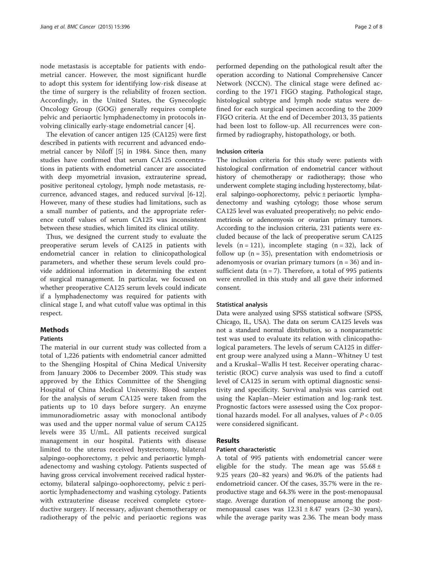node metastasis is acceptable for patients with endometrial cancer. However, the most significant hurdle to adopt this system for identifying low-risk disease at the time of surgery is the reliability of frozen section. Accordingly, in the United States, the Gynecologic Oncology Group (GOG) generally requires complete pelvic and periaortic lymphadenectomy in protocols involving clinically early-stage endometrial cancer [\[4](#page-7-0)].

The elevation of cancer antigen 125 (CA125) were first described in patients with recurrent and advanced endometrial cancer by Niloff [\[5\]](#page-7-0) in 1984. Since then, many studies have confirmed that serum CA125 concentrations in patients with endometrial cancer are associated with deep myometrial invasion, extrauterine spread, positive peritoneal cytology, lymph node metastasis, recurrence, advanced stages, and reduced survival [[6-12](#page-7-0)]. However, many of these studies had limitations, such as a small number of patients, and the appropriate reference cutoff values of serum CA125 was inconsistent between these studies, which limited its clinical utility.

Thus, we designed the current study to evaluate the preoperative serum levels of CA125 in patients with endometrial cancer in relation to clinicopathological parameters, and whether these serum levels could provide additional information in determining the extent of surgical management. In particular, we focused on whether preoperative CA125 serum levels could indicate if a lymphadenectomy was required for patients with clinical stage I, and what cutoff value was optimal in this respect.

#### Methods

#### **Patients**

The material in our current study was collected from a total of 1,226 patients with endometrial cancer admitted to the Shengjing Hospital of China Medical University from January 2006 to December 2009. This study was approved by the Ethics Committee of the Shengjing Hospital of China Medical University. Blood samples for the analysis of serum CA125 were taken from the patients up to 10 days before surgery. An enzyme immunoradiometric assay with monoclonal antibody was used and the upper normal value of serum CA125 levels were 35 U/mL. All patients received surgical management in our hospital. Patients with disease limited to the uterus received hysterectomy, bilateral salpingo-oophorectomy,  $\pm$  pelvic and periaortic lymphadenectomy and washing cytology. Patients suspected of having gross cervical involvement received radical hysterectomy, bilateral salpingo-oophorectomy, pelvic ± periaortic lymphadenectomy and washing cytology. Patients with extrauterine disease received complete cytoreductive surgery. If necessary, adjuvant chemotherapy or radiotherapy of the pelvic and periaortic regions was

performed depending on the pathological result after the operation according to National Comprehensive Cancer Network (NCCN). The clinical stage were defined according to the 1971 FIGO staging. Pathological stage, histological subtype and lymph node status were defined for each surgical specimen according to the 2009 FIGO criteria. At the end of December 2013, 35 patients had been lost to follow-up. All recurrences were confirmed by radiography, histopathology, or both.

#### Inclusion criteria

The inclusion criteria for this study were: patients with histological confirmation of endometrial cancer without history of chemotherapy or radiotherapy; those who underwent complete staging including hysterectomy, bilateral salpingo-oophorectomy, pelvic ± periaortic lymphadenectomy and washing cytology; those whose serum CA125 level was evaluated preoperatively; no pelvic endometriosis or adenomyosis or ovarian primary tumors. According to the inclusion criteria, 231 patients were excluded because of the lack of preoperative serum CA125 levels  $(n = 121)$ , incomplete staging  $(n = 32)$ , lack of follow up  $(n = 35)$ , presentation with endometriosis or adenomyosis or ovarian primary tumors  $(n = 36)$  and insufficient data ( $n = 7$ ). Therefore, a total of 995 patients were enrolled in this study and all gave their informed consent.

#### Statistical analysis

Data were analyzed using SPSS statistical software (SPSS, Chicago, IL, USA). The data on serum CA125 levels was not a standard normal distribution, so a nonparametric test was used to evaluate its relation with clinicopathological parameters. The levels of serum CA125 in different group were analyzed using a Mann–Whitney U test and a Kruskal–Wallis H test. Receiver operating characteristic (ROC) curve analysis was used to find a cutoff level of CA125 in serum with optimal diagnostic sensitivity and specificity. Survival analysis was carried out using the Kaplan–Meier estimation and log-rank test. Prognostic factors were assessed using the Cox proportional hazards model. For all analyses, values of  $P < 0.05$ were considered significant.

#### Results

#### Patient characteristic

A total of 995 patients with endometrial cancer were eligible for the study. The mean age was  $55.68 \pm$ 9.25 years (20–82 years) and 96.0% of the patients had endometrioid cancer. Of the cases, 35.7% were in the reproductive stage and 64.3% were in the post-menopausal stage. Average duration of menopause among the postmenopausal cases was  $12.31 \pm 8.47$  years (2-30 years), while the average parity was 2.36. The mean body mass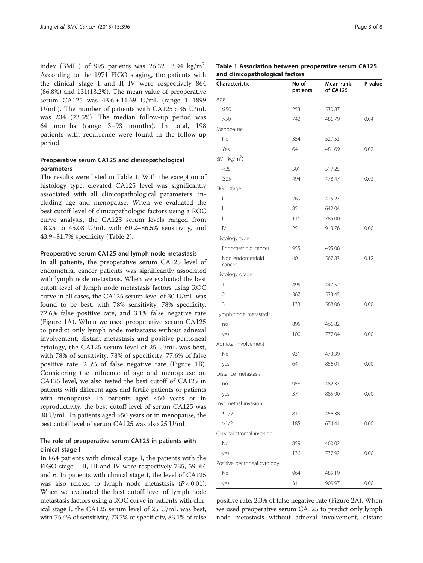index (BMI ) of 995 patients was  $26.32 \pm 3.94$  kg/m<sup>2</sup>. According to the 1971 FIGO staging, the patients with the clinical stage I and II–IV were respectively 864 (86.8%) and 131(13.2%). The mean value of preoperative serum CA125 was 43.6 ± 11.69 U/mL (range 1–1899 U/mL). The number of patients with CA125 > 35 U/mL was 234 (23.5%). The median follow-up period was 64 months (range 3–93 months). In total, 198 patients with recurrence were found in the follow-up period.

# Preoperative serum CA125 and clinicopathological parameters

The results were listed in Table 1. With the exception of histology type, elevated CA125 level was significantly associated with all clinicopathological parameters, including age and menopause. When we evaluated the best cutoff level of clinicopathologic factors using a ROC curve analysis, the CA125 serum levels ranged from 18.25 to 45.08 U/mL with 60.2–86.5% sensitivity, and 43.9–81.7% specificity (Table [2\)](#page-3-0).

#### Preoperative serum CA125 and lymph node metastasis

In all patients, the preoperative serum CA125 level of endometrial cancer patients was significantly associated with lymph node metastasis. When we evaluated the best cutoff level of lymph node metastasis factors using ROC curve in all cases, the CA125 serum level of 30 U/mL was found to be best, with 78% sensitivity, 78% specificity, 72.6% false positive rate, and 3.1% false negative rate (Figure [1A](#page-3-0)). When we used preoperative serum CA125 to predict only lymph node metastasis without adnexal involvement, distant metastasis and positive peritoneal cytology, the CA125 serum level of 25 U/mL was best, with 78% of sensitivity, 78% of specificity, 77.6% of false positive rate, 2.3% of false negative rate (Figure [1](#page-3-0)B). Considering the influence of age and menopause on CA125 level, we also tested the best cutoff of CA125 in patients with different ages and fertile patients or patients with menopause. In patients aged ≤50 years or in reproductivity, the best cutoff level of serum CA125 was 30 U/mL. In patients aged >50 years or in menopause, the best cutoff level of serum CA125 was also 25 U/mL.

### The role of preoperative serum CA125 in patients with clinical stage I

In 864 patients with clinical stage I, the patients with the FIGO stage I, II, III and IV were respectively 735, 59, 64 and 6. In patients with clinical stage I, the level of CA125 was also related to lymph node metastasis  $(P < 0.01)$ . When we evaluated the best cutoff level of lymph node metastasis factors using a ROC curve in patients with clinical stage I, the CA125 serum level of 25 U/mL was best, with 75.4% of sensitivity, 73.7% of specificity, 83.1% of false

#### Table 1 Association between preoperative serum CA125 and clinicopathological factors

| Characteristic                        | No of<br>patients | Mean rank<br>of CA125 | P value |
|---------------------------------------|-------------------|-----------------------|---------|
| Age                                   |                   |                       |         |
| $\leq 50$                             | 253               | 530.87                |         |
| >50                                   | 742               | 486.79                | 0.04    |
| Menopause                             |                   |                       |         |
| No                                    | 354               | 527.53                |         |
| Yes                                   | 641               | 481.69                | 0.02    |
| BMI ( $kg/m2$ )                       |                   |                       |         |
| $<$ 25                                | 501               | 517.25                |         |
| $\geq$ 25                             | 494               | 478.47                | 0.03    |
| FIGO stage                            |                   |                       |         |
| T                                     | 769               | 425.27                |         |
| $\mathsf{II}$                         | 85                | 642.04                |         |
| $\begin{array}{c} \hline \end{array}$ | 116               | 785.00                |         |
| $\mathsf{IV}$                         | 25                | 913.76                | 0.00    |
| Histology type                        |                   |                       |         |
| Endometrioid cancer                   | 955               | 495.08                |         |
| Non endometrioid<br>cancer            | 40                | 567.83                | 0.12    |
| Histology grade                       |                   |                       |         |
| 1                                     | 495               | 447.52                |         |
| 2                                     | 367               | 533.45                |         |
| 3                                     | 133               | 588.06                | 0.00    |
| Lymph node metastasis                 |                   |                       |         |
| no                                    | 895               | 466.82                |         |
| yes                                   | 100               | 777.04                | 0.00    |
| Adnexal involvement                   |                   |                       |         |
| No                                    | 931               | 473.39                |         |
| yes                                   | 64                | 856.01                | 0.00    |
| Distance metastasis                   |                   |                       |         |
| no                                    | 958               | 482.37                |         |
| yes                                   | 37                | 885.90                | 0.00    |
| myometrial invasion                   |                   |                       |         |
| $\leq$ 1/2                            | 810               | 456.38                |         |
| >1/2                                  | 185               | 674.41                | 0.00    |
| Cervical stromal invasion             |                   |                       |         |
| No                                    | 859               | 460.02                |         |
| yes                                   | 136               | 737.92                | 0.00    |
| Positive peritoneal cytology          |                   |                       |         |
| No                                    | 964               | 485.19                |         |
| yes                                   | 31                | 909.97                | 0.00    |

positive rate, 2.3% of false negative rate (Figure [2](#page-4-0)A). When we used preoperative serum CA125 to predict only lymph node metastasis without adnexal involvement, distant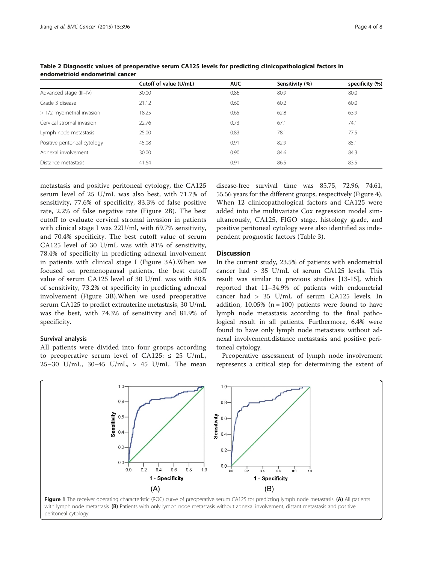|                              | Cutoff of value (U/mL) | <b>AUC</b> | Sensitivity (%) | specificity (%) |
|------------------------------|------------------------|------------|-----------------|-----------------|
| Advanced stage (III-IV)      | 30.00                  | 0.86       | 80.9            | 80.0            |
| Grade 3 disease              | 21.12                  | 0.60       | 60.2            | 60.0            |
| > 1/2 myometrial invasion    | 18.25                  | 0.65       | 62.8            | 63.9            |
| Cervical stromal invasion    | 22.76                  | 0.73       | 67.1            | 74.1            |
| Lymph node metastasis        | 25.00                  | 0.83       | 78.1            | 77.5            |
| Positive peritoneal cytology | 45.08                  | 0.91       | 82.9            | 85.1            |
| Adnexal involvement          | 30.00                  | 0.90       | 84.6            | 84.3            |
| Distance metastasis          | 41.64                  | 0.91       | 86.5            | 83.5            |

<span id="page-3-0"></span>Table 2 Diagnostic values of preoperative serum CA125 levels for predicting clinicopathological factors in endometrioid endometrial cancer

metastasis and positive peritoneal cytology, the CA125 serum level of 25 U/mL was also best, with 71.7% of sensitivity, 77.6% of specificity, 83.3% of false positive rate, 2.2% of false negative rate (Figure [2](#page-4-0)B). The best cutoff to evaluate cervical stromal invasion in patients with clinical stage I was 22U/ml, with 69.7% sensitivity, and 70.4% specificity. The best cutoff value of serum CA125 level of 30 U/mL was with 81% of sensitivity, 78.4% of specificity in predicting adnexal involvement in patients with clinical stage I (Figure [3A](#page-4-0)).When we focused on premenopausal patients, the best cutoff value of serum CA125 level of 30 U/mL was with 80% of sensitivity, 73.2% of specificity in predicting adnexal involvement (Figure [3](#page-4-0)B).When we used preoperative serum CA125 to predict extrauterine metastasis, 30 U/mL was the best, with 74.3% of sensitivity and 81.9% of specificity.

# Survival analysis

All patients were divided into four groups according to preoperative serum level of CA125:  $\leq$  25 U/mL, 25–30 U/mL, 30–45 U/mL,  $> 45$  U/mL. The mean

disease-free survival time was 85.75, 72.96, 74.61, 55.56 years for the different groups, respectively (Figure [4](#page-5-0)). When 12 clinicopathological factors and CA125 were added into the multivariate Cox regression model simultaneously, CA125, FIGO stage, histology grade, and positive peritoneal cytology were also identified as independent prognostic factors (Table [3](#page-5-0)).

# **Discussion**

In the current study, 23.5% of patients with endometrial cancer had > 35 U/mL of serum CA125 levels. This result was similar to previous studies [[13-15\]](#page-7-0), which reported that 11–34.9% of patients with endometrial cancer had > 35 U/mL of serum CA125 levels. In addition,  $10.05\%$  (n = 100) patients were found to have lymph node metastasis according to the final pathological result in all patients. Furthermore, 6.4% were found to have only lymph node metastasis without adnexal involvement.distance metastasis and positive peritoneal cytology.

Preoperative assessment of lymph node involvement represents a critical step for determining the extent of

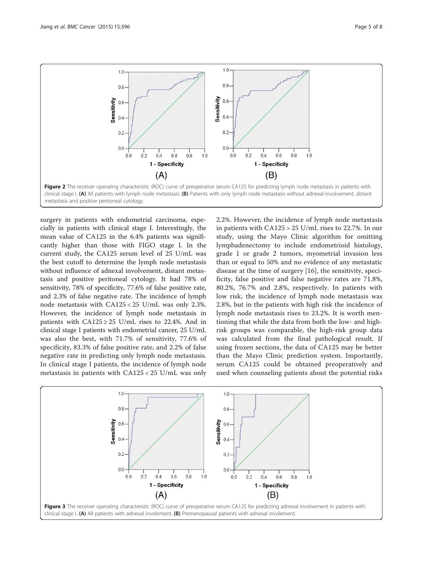<span id="page-4-0"></span>

surgery in patients with endometrial carcinoma, especially in patients with clinical stage I. Interestingly, the mean value of CA125 in the 6.4% patients was significantly higher than those with FIGO stage I. In the current study, the CA125 serum level of 25 U/mL was the best cutoff to determine the lymph node metastasis without influence of adnexal involvement, distant metastasis and positive peritoneal cytology. It had 78% of sensitivity, 78% of specificity, 77.6% of false positive rate, and 2.3% of false negative rate. The incidence of lymph node metastasis with CA125 < 25 U/mL was only 2.3%. However, the incidence of lymph node metastasis in patients with  $CA125 \geq 25$  U/mL rises to 22.4%. And in clinical stage I patients with endometrial cancer, 25 U/mL was also the best, with 71.7% of sensitivity, 77.6% of specificity, 83.3% of false positive rate, and 2.2% of false negative rate in predicting only lymph node metastasis. In clinical stage I patients, the incidence of lymph node metastasis in patients with CA125 < 25 U/mL was only 2.2%. However, the incidence of lymph node metastasis in patients with CA125 > 25 U/mL rises to 22.7%. In our study, using the Mayo Clinic algorithm for omitting lymphadenectomy to include endometrioid histology, grade 1 or grade 2 tumors, myometrial invasion less than or equal to 50% and no evidence of any metastatic disease at the time of surgery [[16](#page-7-0)], the sensitivity, specificity, false positive and false negative rates are 71.8%, 80.2%, 76.7% and 2.8%, respectively. In patients with low risk, the incidence of lymph node metastasis was 2.8%, but in the patients with high risk the incidence of lymph node metastasis rises to 23.2%. It is worth mentioning that while the data from both the low- and highrisk groups was comparable, the high-risk group data was calculated from the final pathological result. If using frozen sections, the data of CA125 may be better than the Mayo Clinic prediction system. Importantly, serum CA125 could be obtained preoperatively and used when counseling patients about the potential risks

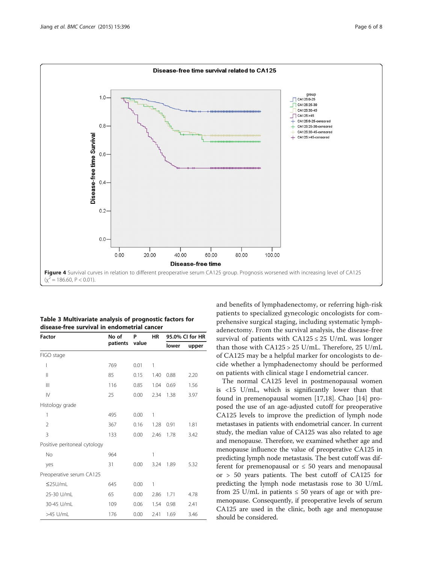<span id="page-5-0"></span>

| Table 3 Multivariate analysis of prognostic factors for |
|---------------------------------------------------------|
| disease-free survival in endometrial cancer             |

| <b>Factor</b>                | No of<br>patients | P<br>value | <b>HR</b> | 95.0% CI for HR |       |
|------------------------------|-------------------|------------|-----------|-----------------|-------|
|                              |                   |            |           | lower           | upper |
| FIGO stage                   |                   |            |           |                 |       |
| I                            | 769               | 0.01       | 1         |                 |       |
| $\mathbf{I}$                 | 85                | 0.15       | 1.40      | 0.88            | 2.20  |
| $\mathbb{H}$                 | 116               | 0.85       | 1.04      | 0.69            | 1.56  |
| $\mathsf{IV}$                | 25                | 0.00       | 2.34      | 1.38            | 3.97  |
| Histology grade              |                   |            |           |                 |       |
| 1                            | 495               | 0.00       | 1         |                 |       |
| 2                            | 367               | 0.16       | 1.28      | 0.91            | 1.81  |
| 3                            | 133               | 0.00       | 2.46      | 1.78            | 3.42  |
| Positive peritoneal cytology |                   |            |           |                 |       |
| No                           | 964               |            | 1         |                 |       |
| yes                          | 31                | 0.00       | 3.24      | 1.89            | 5.32  |
| Preoperative serum CA125     |                   |            |           |                 |       |
| $\leq$ 25U/mL                | 645               | 0.00       | 1         |                 |       |
| 25-30 U/mL                   | 65                | 0.00       | 2.86      | 1.71            | 4.78  |
| 30-45 U/mL                   | 109               | 0.06       | 1.54      | 0.98            | 2.41  |
| >45 U/mL                     | 176               | 0.00       | 2.41      | 1.69            | 3.46  |

and benefits of lymphadenectomy, or referring high-risk patients to specialized gynecologic oncologists for comprehensive surgical staging, including systematic lymphadenectomy. From the survival analysis, the disease-free survival of patients with  $CA125 \leq 25$  U/mL was longer than those with CA125 > 25 U/mL. Therefore, 25 U/mL of CA125 may be a helpful marker for oncologists to decide whether a lymphadenectomy should be performed on patients with clinical stage I endometrial cancer.

The normal CA125 level in postmenopausal women is <15 U/mL, which is significantly lower than that found in premenopausal women [[17,18\]](#page-7-0). Chao [[14](#page-7-0)] proposed the use of an age-adjusted cutoff for preoperative CA125 levels to improve the prediction of lymph node metastases in patients with endometrial cancer. In current study, the median value of CA125 was also related to age and menopause. Therefore, we examined whether age and menopause influence the value of preoperative CA125 in predicting lymph node metastasis. The best cutoff was different for premenopausal or  $\leq 50$  years and menopausal or > 50 years patients. The best cutoff of CA125 for predicting the lymph node metastasis rose to 30 U/mL from 25 U/mL in patients  $\leq$  50 years of age or with premenopause. Consequently, if preoperative levels of serum CA125 are used in the clinic, both age and menopause should be considered.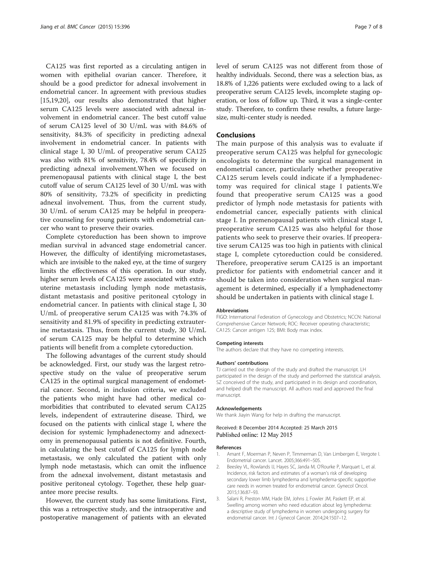<span id="page-6-0"></span>CA125 was first reported as a circulating antigen in women with epithelial ovarian cancer. Therefore, it should be a good predictor for adnexal involvement in endometrial cancer. In agreement with previous studies [[15,19,20\]](#page-7-0), our results also demonstrated that higher serum CA125 levels were associated with adnexal involvement in endometrial cancer. The best cutoff value of serum CA125 level of 30 U/mL was with 84.6% of sensitivity, 84.3% of specificity in predicting adnexal involvement in endometrial cancer. In patients with clinical stage I, 30 U/mL of preoperative serum CA125 was also with 81% of sensitivity, 78.4% of specificity in predicting adnexal involvement.When we focused on premenopausal patients with clinical stage I, the best cutoff value of serum CA125 level of 30 U/mL was with 80% of sensitivity, 73.2% of specificity in predicting adnexal involvement. Thus, from the current study, 30 U/mL of serum CA125 may be helpful in preoperative counseling for young patients with endometrial cancer who want to preserve their ovaries.

Complete cytoreduction has been shown to improve median survival in advanced stage endometrial cancer. However, the difficulty of identifying micrometastases, which are invisible to the naked eye, at the time of surgery limits the effectiveness of this operation. In our study, higher serum levels of CA125 were associated with extrauterine metastasis including lymph node metastasis, distant metastasis and positive peritoneal cytology in endometrial cancer. In patients with clinical stage I, 30 U/mL of preoperative serum CA125 was with 74.3% of sensitivity and 81.9% of specifity in predicting extrauterine metastasis. Thus, from the current study, 30 U/mL of serum CA125 may be helpful to determine which patients will benefit from a complete cytoreduction.

The following advantages of the current study should be acknowledged. First, our study was the largest retrospective study on the value of preoperative serum CA125 in the optimal surgical management of endometrial cancer. Second, in inclusion criteria, we excluded the patients who might have had other medical comorbidities that contributed to elevated serum CA125 levels, independent of extrauterine disease. Third, we focused on the patients with cinlical stage I, where the decision for systemic lymphadenectomy and adnexectomy in premenopausal patients is not definitive. Fourth, in calculating the best cutoff of CA125 for lymph node metastasis, we only calculated the patient with only lymph node metastasis, which can omit the influence from the adnexal involvement, distant metastasis and positive peritoneal cytology. Together, these help guarantee more precise results.

However, the current study has some limitations. First, this was a retrospective study, and the intraoperative and postoperative management of patients with an elevated level of serum CA125 was not different from those of healthy individuals. Second, there was a selection bias, as 18.8% of 1,226 patients were excluded owing to a lack of preoperative serum CA125 levels, incomplete staging operation, or loss of follow up. Third, it was a single-center study. Therefore, to confirm these results, a future largesize, multi-center study is needed.

#### Conclusions

The main purpose of this analysis was to evaluate if preoperative serum CA125 was helpful for gynecologic oncologists to determine the surgical management in endometrial cancer, particularly whether preoperative CA125 serum levels could indicate if a lymphadenectomy was required for clinical stage I patients.We found that preoperative serum CA125 was a good predictor of lymph node metastasis for patients with endometrial cancer, especially patients with clinical stage I. In premenopausal patients with clinical stage I, preoperative serum CA125 was also helpful for those patients who seek to preserve their ovaries. If preoperative serum CA125 was too high in patients with clinical stage I, complete cytoreduction could be considered. Therefore, preoperative serum CA125 is an important predictor for patients with endometrial cancer and it should be taken into consideration when surgical management is determined, especially if a lymphadenectomy should be undertaken in patients with clinical stage I.

#### Abbreviations

FIGO: International Federation of Gynecology and Obstetrics; NCCN: National Comprehensive Cancer Network; ROC: Receiver operating characteristic; CA125: Cancer antigen 125; BMI: Body max index.

#### Competing interests

The authors declare that they have no competing interests.

#### Authors' contributions

TJ carried out the design of the study and drafted the manuscript. LH participated in the design of the study and performed the statistical analysis. SZ conceived of the study, and participated in its design and coordination, and helped draft the manuscript. All authors read and approved the final manuscript.

#### Acknowledgements

We thank Jiayin Wang for help in drafting the manuscript.

#### Received: 8 December 2014 Accepted: 25 March 2015 Published online: 12 May 2015

#### References

- 1. Amant F, Moerman P, Neven P, Timmerman D, Van Limbergen E, Vergote I. Endometrial cancer. Lancet. 2005;366:491–505.
- Beesley VL, Rowlands IJ, Hayes SC, Janda M, O'Rourke P, Marquart L, et al. Incidence, risk factors and estimates of a woman's risk of developing secondary lower limb lymphedema and lymphedema-specific supportive care needs in women treated for endometrial cancer. Gynecol Oncol. 2015;136:87–93.
- 3. Salani R, Preston MM, Hade EM, Johns J, Fowler JM, Paskett EP, et al. Swelling among women who need education about leg lymphedema: a descriptive study of lymphedema in women undergoing surgery for endometrial cancer. Int J Gynecol Cancer. 2014;24:1507–12.